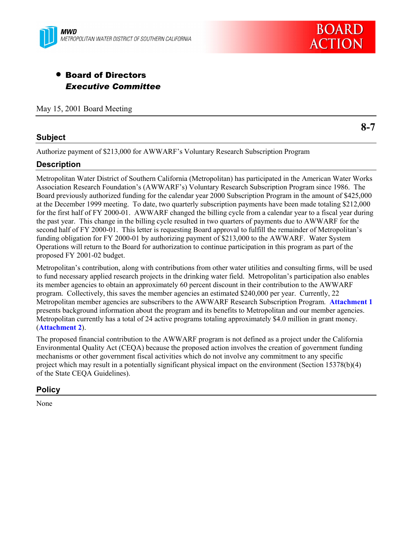



# • Board of Directors *Executive Committee*

May 15, 2001 Board Meeting

## **Subject**

**8-7**

Authorize payment of \$213,000 for AWWARF's Voluntary Research Subscription Program

## **Description**

Metropolitan Water District of Southern California (Metropolitan) has participated in the American Water Works Association Research Foundation's (AWWARF's) Voluntary Research Subscription Program since 1986. The Board previously authorized funding for the calendar year 2000 Subscription Program in the amount of \$425,000 at the December 1999 meeting. To date, two quarterly subscription payments have been made totaling \$212,000 for the first half of FY 2000-01. AWWARF changed the billing cycle from a calendar year to a fiscal year during the past year. This change in the billing cycle resulted in two quarters of payments due to AWWARF for the second half of FY 2000-01. This letter is requesting Board approval to fulfill the remainder of Metropolitan's funding obligation for FY 2000-01 by authorizing payment of \$213,000 to the AWWARF. Water System Operations will return to the Board for authorization to continue participation in this program as part of the proposed FY 2001-02 budget.

Metropolitanís contribution, along with contributions from other water utilities and consulting firms, will be used to fund necessary applied research projects in the drinking water field. Metropolitanís participation also enables its member agencies to obtain an approximately 60 percent discount in their contribution to the AWWARF program. Collectively, this saves the member agencies an estimated \$240,000 per year. Currently, 22 Metropolitan member agencies are subscribers to the AWWARF Research Subscription Program. **Attachment 1** presents background information about the program and its benefits to Metropolitan and our member agencies. Metropolitan currently has a total of 24 active programs totaling approximately \$4.0 million in grant money. (**Attachment 2**).

The proposed financial contribution to the AWWARF program is not defined as a project under the California Environmental Quality Act (CEQA) because the proposed action involves the creation of government funding mechanisms or other government fiscal activities which do not involve any commitment to any specific project which may result in a potentially significant physical impact on the environment (Section 15378(b)(4) of the State CEQA Guidelines).

## **Policy**

None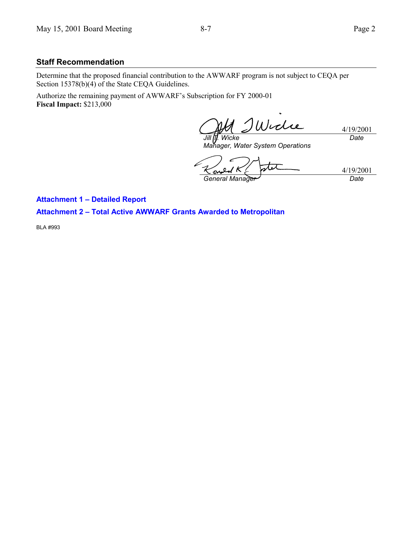#### **Staff Recommendation**

Determine that the proposed financial contribution to the AWWARF program is not subject to CEQA per Section 15378(b)(4) of the State CEQA Guidelines.

Authorize the remaining payment of AWWARF's Subscription for FY 2000-01 **Fiscal Impact:** \$213,000

Widie 4/19/2001 *Date Jill T. Wicke*

*Manager, Water System Operations*

4/19/2001 *General Manager Date*

**Attachment 1 - Detailed Report** 

**Attachment 2 - Total Active AWWARF Grants Awarded to Metropolitan** 

BLA #993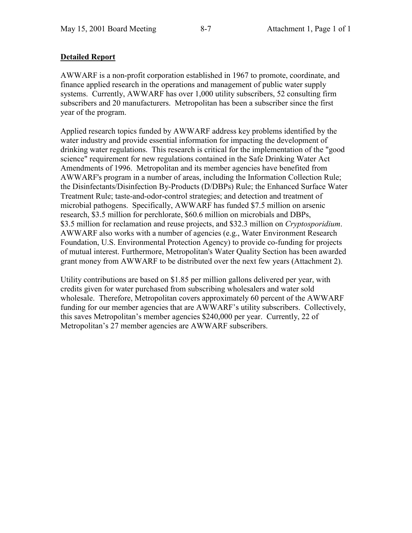## **Detailed Report**

AWWARF is a non-profit corporation established in 1967 to promote, coordinate, and finance applied research in the operations and management of public water supply systems. Currently, AWWARF has over 1,000 utility subscribers, 52 consulting firm subscribers and 20 manufacturers. Metropolitan has been a subscriber since the first year of the program.

Applied research topics funded by AWWARF address key problems identified by the water industry and provide essential information for impacting the development of drinking water regulations. This research is critical for the implementation of the "good science" requirement for new regulations contained in the Safe Drinking Water Act Amendments of 1996. Metropolitan and its member agencies have benefited from AWWARF's program in a number of areas, including the Information Collection Rule; the Disinfectants/Disinfection By-Products (D/DBPs) Rule; the Enhanced Surface Water Treatment Rule; taste-and-odor-control strategies; and detection and treatment of microbial pathogens. Specifically, AWWARF has funded \$7.5 million on arsenic research, \$3.5 million for perchlorate, \$60.6 million on microbials and DBPs, \$3.5 million for reclamation and reuse projects, and \$32.3 million on *Cryptosporidium*. AWWARF also works with a number of agencies (e.g., Water Environment Research Foundation, U.S. Environmental Protection Agency) to provide co-funding for projects of mutual interest. Furthermore, Metropolitan's Water Quality Section has been awarded grant money from AWWARF to be distributed over the next few years (Attachment 2).

Utility contributions are based on \$1.85 per million gallons delivered per year, with credits given for water purchased from subscribing wholesalers and water sold wholesale. Therefore, Metropolitan covers approximately 60 percent of the AWWARF funding for our member agencies that are AWWARF's utility subscribers. Collectively, this saves Metropolitan's member agencies \$240,000 per year. Currently, 22 of Metropolitan's 27 member agencies are AWWARF subscribers.